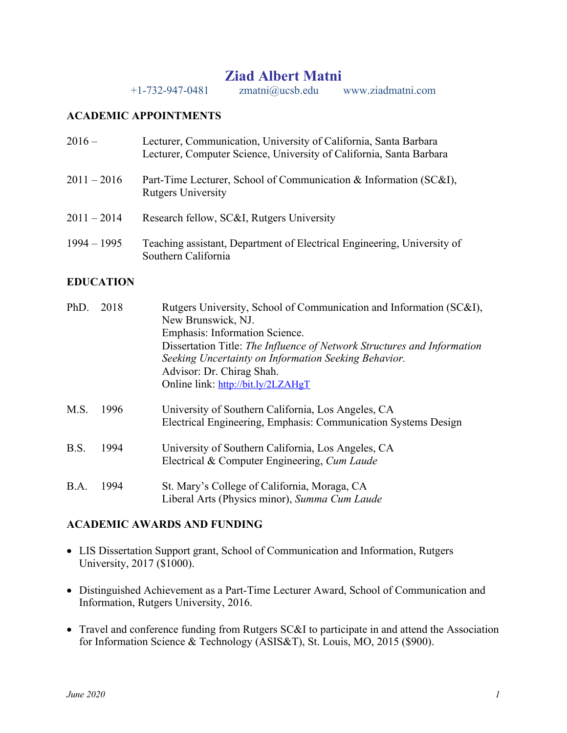# **Ziad Albert Matni**

+1-732-947-0481 zmatni@ucsb.edu www.ziadmatni.com

### **ACADEMIC APPOINTMENTS**

| $2016-$       | Lecturer, Communication, University of California, Santa Barbara<br>Lecturer, Computer Science, University of California, Santa Barbara |
|---------------|-----------------------------------------------------------------------------------------------------------------------------------------|
| $2011 - 2016$ | Part-Time Lecturer, School of Communication & Information (SC&I),<br><b>Rutgers University</b>                                          |
| $2011 - 2014$ | Research fellow, SC&I, Rutgers University                                                                                               |
| $1994 - 1995$ | Teaching assistant, Department of Electrical Engineering, University of<br>Southern California                                          |

# **EDUCATION**

| PhD. | 2018 | Rutgers University, School of Communication and Information (SC&I),     |
|------|------|-------------------------------------------------------------------------|
|      |      | New Brunswick, NJ.                                                      |
|      |      | Emphasis: Information Science.                                          |
|      |      | Dissertation Title: The Influence of Network Structures and Information |
|      |      | Seeking Uncertainty on Information Seeking Behavior.                    |
|      |      | Advisor: Dr. Chirag Shah.                                               |
|      |      | Online link: http://bit.ly/2LZAHgT                                      |
| M.S. | 1996 | University of Southern California, Los Angeles, CA                      |
|      |      | Electrical Engineering, Emphasis: Communication Systems Design          |
| B.S. | 1994 | University of Southern California, Los Angeles, CA                      |
|      |      | Electrical & Computer Engineering, Cum Laude                            |
| B.A. | 1994 | St. Mary's College of California, Moraga, CA                            |
|      |      | Liberal Arts (Physics minor), Summa Cum Laude                           |

#### **ACADEMIC AWARDS AND FUNDING**

- LIS Dissertation Support grant, School of Communication and Information, Rutgers University, 2017 (\$1000).
- Distinguished Achievement as a Part-Time Lecturer Award, School of Communication and Information, Rutgers University, 2016.
- Travel and conference funding from Rutgers SC&I to participate in and attend the Association for Information Science & Technology (ASIS&T), St. Louis, MO, 2015 (\$900).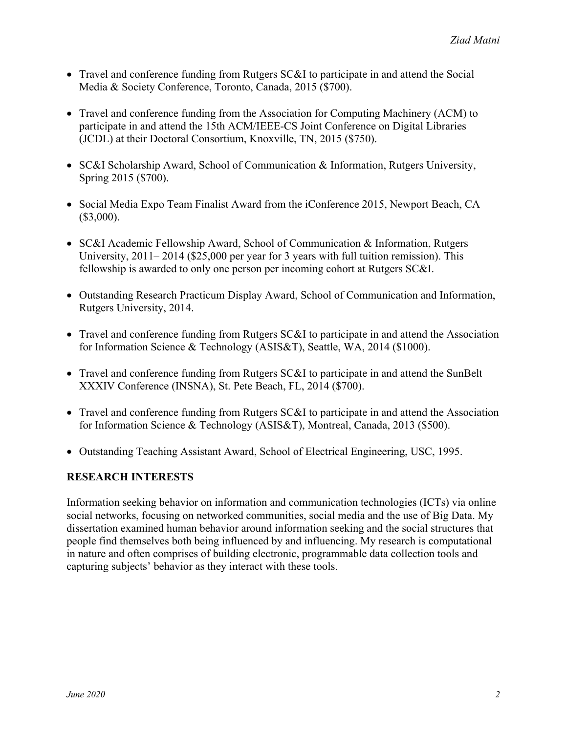- Travel and conference funding from Rutgers SC&I to participate in and attend the Social Media & Society Conference, Toronto, Canada, 2015 (\$700).
- Travel and conference funding from the Association for Computing Machinery (ACM) to participate in and attend the 15th ACM/IEEE-CS Joint Conference on Digital Libraries (JCDL) at their Doctoral Consortium, Knoxville, TN, 2015 (\$750).
- SC&I Scholarship Award, School of Communication & Information, Rutgers University, Spring 2015 (\$700).
- Social Media Expo Team Finalist Award from the iConference 2015, Newport Beach, CA  $($3,000).$
- SC&I Academic Fellowship Award, School of Communication & Information, Rutgers University, 2011– 2014 (\$25,000 per year for 3 years with full tuition remission). This fellowship is awarded to only one person per incoming cohort at Rutgers SC&I.
- Outstanding Research Practicum Display Award, School of Communication and Information, Rutgers University, 2014.
- Travel and conference funding from Rutgers SC&I to participate in and attend the Association for Information Science & Technology (ASIS&T), Seattle, WA, 2014 (\$1000).
- Travel and conference funding from Rutgers SC&I to participate in and attend the SunBelt XXXIV Conference (INSNA), St. Pete Beach, FL, 2014 (\$700).
- Travel and conference funding from Rutgers SC&I to participate in and attend the Association for Information Science & Technology (ASIS&T), Montreal, Canada, 2013 (\$500).
- Outstanding Teaching Assistant Award, School of Electrical Engineering, USC, 1995.

# **RESEARCH INTERESTS**

Information seeking behavior on information and communication technologies (ICTs) via online social networks, focusing on networked communities, social media and the use of Big Data. My dissertation examined human behavior around information seeking and the social structures that people find themselves both being influenced by and influencing. My research is computational in nature and often comprises of building electronic, programmable data collection tools and capturing subjects' behavior as they interact with these tools.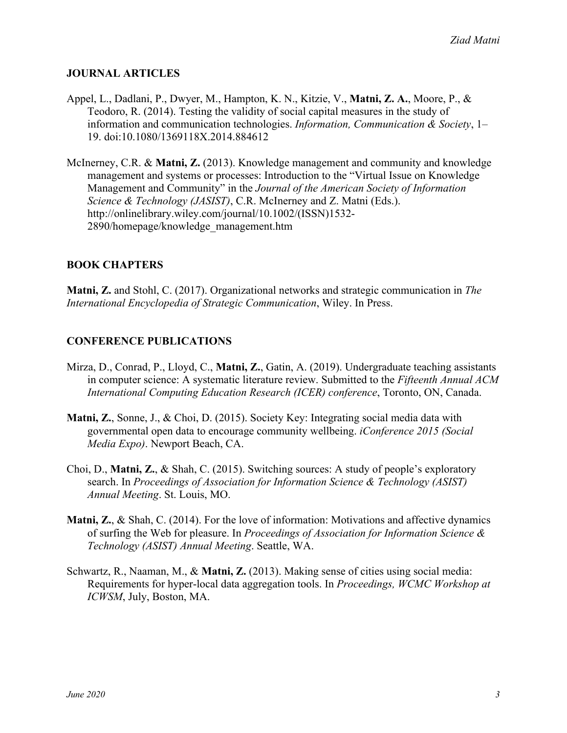# **JOURNAL ARTICLES**

- Appel, L., Dadlani, P., Dwyer, M., Hampton, K. N., Kitzie, V., **Matni, Z. A.**, Moore, P., & Teodoro, R. (2014). Testing the validity of social capital measures in the study of information and communication technologies. *Information, Communication & Society*, 1– 19. doi:10.1080/1369118X.2014.884612
- McInerney, C.R. & **Matni, Z.** (2013). Knowledge management and community and knowledge management and systems or processes: Introduction to the "Virtual Issue on Knowledge Management and Community" in the *Journal of the American Society of Information Science & Technology (JASIST)*, C.R. McInerney and Z. Matni (Eds.). http://onlinelibrary.wiley.com/journal/10.1002/(ISSN)1532- 2890/homepage/knowledge\_management.htm

# **BOOK CHAPTERS**

**Matni, Z.** and Stohl, C. (2017). Organizational networks and strategic communication in *The International Encyclopedia of Strategic Communication*, Wiley. In Press.

#### **CONFERENCE PUBLICATIONS**

- Mirza, D., Conrad, P., Lloyd, C., **Matni, Z.**, Gatin, A. (2019). Undergraduate teaching assistants in computer science: A systematic literature review. Submitted to the *Fifteenth Annual ACM International Computing Education Research (ICER) conference*, Toronto, ON, Canada.
- **Matni, Z.**, Sonne, J., & Choi, D. (2015). Society Key: Integrating social media data with governmental open data to encourage community wellbeing. *iConference 2015 (Social Media Expo)*. Newport Beach, CA.
- Choi, D., **Matni, Z.**, & Shah, C. (2015). Switching sources: A study of people's exploratory search. In *Proceedings of Association for Information Science & Technology (ASIST) Annual Meeting*. St. Louis, MO.
- **Matni, Z.**, & Shah, C. (2014). For the love of information: Motivations and affective dynamics of surfing the Web for pleasure. In *Proceedings of Association for Information Science & Technology (ASIST) Annual Meeting*. Seattle, WA.
- Schwartz, R., Naaman, M., & **Matni, Z.** (2013). Making sense of cities using social media: Requirements for hyper-local data aggregation tools. In *Proceedings, WCMC Workshop at ICWSM*, July, Boston, MA.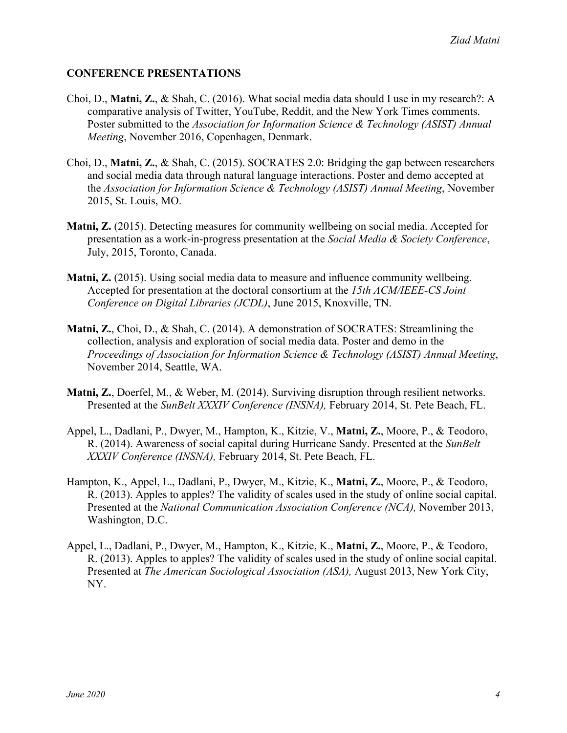# **CONFERENCE PRESENTATIONS**

- Choi, D., **Matni, Z.**, & Shah, C. (2016). What social media data should I use in my research?: A comparative analysis of Twitter, YouTube, Reddit, and the New York Times comments. Poster submitted to the *Association for Information Science & Technology (ASIST) Annual Meeting*, November 2016, Copenhagen, Denmark.
- Choi, D., **Matni, Z.**, & Shah, C. (2015). SOCRATES 2.0: Bridging the gap between researchers and social media data through natural language interactions. Poster and demo accepted at the *Association for Information Science & Technology (ASIST) Annual Meeting*, November 2015, St. Louis, MO.
- **Matni, Z.** (2015). Detecting measures for community wellbeing on social media. Accepted for presentation as a work-in-progress presentation at the *Social Media & Society Conference*, July, 2015, Toronto, Canada.
- **Matni, Z.** (2015). Using social media data to measure and influence community wellbeing. Accepted for presentation at the doctoral consortium at the *15th ACM/IEEE-CS Joint Conference on Digital Libraries (JCDL)*, June 2015, Knoxville, TN.
- **Matni, Z.**, Choi, D., & Shah, C. (2014). A demonstration of SOCRATES: Streamlining the collection, analysis and exploration of social media data. Poster and demo in the *Proceedings of Association for Information Science & Technology (ASIST) Annual Meeting*, November 2014, Seattle, WA.
- **Matni, Z.**, Doerfel, M., & Weber, M. (2014). Surviving disruption through resilient networks. Presented at the *SunBelt XXXIV Conference (INSNA),* February 2014, St. Pete Beach, FL.
- Appel, L., Dadlani, P., Dwyer, M., Hampton, K., Kitzie, V., **Matni, Z.**, Moore, P., & Teodoro, R. (2014). Awareness of social capital during Hurricane Sandy. Presented at the *SunBelt XXXIV Conference (INSNA),* February 2014, St. Pete Beach, FL.
- Hampton, K., Appel, L., Dadlani, P., Dwyer, M., Kitzie, K., **Matni, Z.**, Moore, P., & Teodoro, R. (2013). Apples to apples? The validity of scales used in the study of online social capital. Presented at the *National Communication Association Conference (NCA),* November 2013, Washington, D.C.
- Appel, L., Dadlani, P., Dwyer, M., Hampton, K., Kitzie, K., **Matni, Z.**, Moore, P., & Teodoro, R. (2013). Apples to apples? The validity of scales used in the study of online social capital. Presented at *The American Sociological Association (ASA),* August 2013, New York City, NY.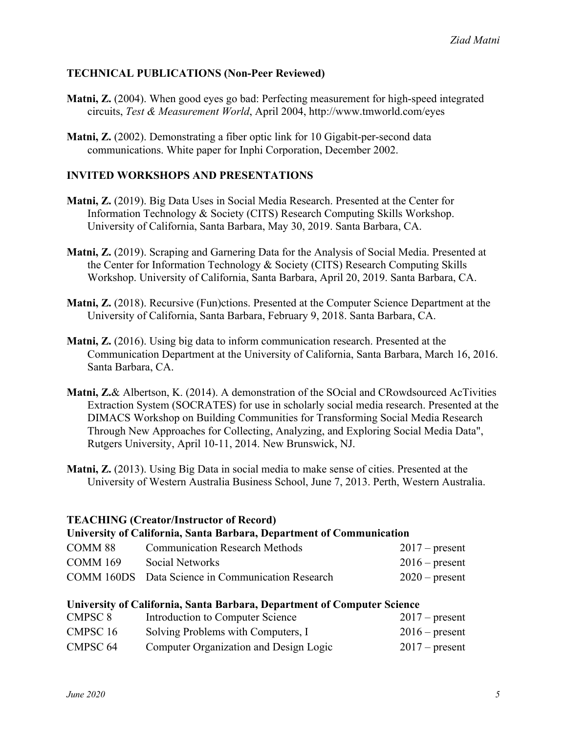# **TECHNICAL PUBLICATIONS (Non-Peer Reviewed)**

- **Matni, Z.** (2004). When good eyes go bad: Perfecting measurement for high-speed integrated circuits, *Test & Measurement World*, April 2004, http://www.tmworld.com/eyes
- **Matni, Z.** (2002). Demonstrating a fiber optic link for 10 Gigabit-per-second data communications. White paper for Inphi Corporation, December 2002.

#### **INVITED WORKSHOPS AND PRESENTATIONS**

- **Matni, Z.** (2019). Big Data Uses in Social Media Research. Presented at the Center for Information Technology & Society (CITS) Research Computing Skills Workshop. University of California, Santa Barbara, May 30, 2019. Santa Barbara, CA.
- **Matni, Z.** (2019). Scraping and Garnering Data for the Analysis of Social Media. Presented at the Center for Information Technology & Society (CITS) Research Computing Skills Workshop. University of California, Santa Barbara, April 20, 2019. Santa Barbara, CA.
- **Matni, Z.** (2018). Recursive (Fun)ctions. Presented at the Computer Science Department at the University of California, Santa Barbara, February 9, 2018. Santa Barbara, CA.
- **Matni, Z.** (2016). Using big data to inform communication research. Presented at the Communication Department at the University of California, Santa Barbara, March 16, 2016. Santa Barbara, CA.
- **Matni, Z.**& Albertson, K. (2014). A demonstration of the SOcial and CRowdsourced AcTivities Extraction System (SOCRATES) for use in scholarly social media research. Presented at the DIMACS Workshop on Building Communities for Transforming Social Media Research Through New Approaches for Collecting, Analyzing, and Exploring Social Media Data", Rutgers University, April 10-11, 2014. New Brunswick, NJ.
- **Matni, Z.** (2013). Using Big Data in social media to make sense of cities. Presented at the University of Western Australia Business School, June 7, 2013. Perth, Western Australia.

#### **TEACHING (Creator/Instructor of Record)**

# **University of California, Santa Barbara, Department of Communication**

| COMM 88  | <b>Communication Research Methods</b>             | $2017$ – present |
|----------|---------------------------------------------------|------------------|
| COMM 169 | Social Networks                                   | $2016$ – present |
|          | COMM 160DS Data Science in Communication Research | $2020$ – present |

# **University of California, Santa Barbara, Department of Computer Science**

| CMPSC 8         | Introduction to Computer Science       | $2017$ – present |
|-----------------|----------------------------------------|------------------|
| <b>CMPSC 16</b> | Solving Problems with Computers, I     | $2016$ – present |
| CMPSC 64        | Computer Organization and Design Logic | $2017$ – present |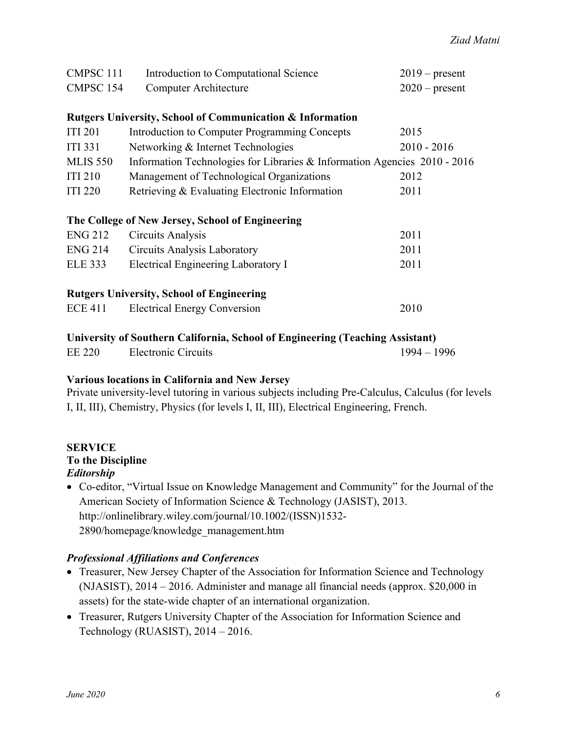| CMPSC 111                                                            | Introduction to Computational Science                                     | $2019$ – present |  |  |  |
|----------------------------------------------------------------------|---------------------------------------------------------------------------|------------------|--|--|--|
| CMPSC 154                                                            | <b>Computer Architecture</b>                                              | $2020$ – present |  |  |  |
|                                                                      |                                                                           |                  |  |  |  |
| <b>Rutgers University, School of Communication &amp; Information</b> |                                                                           |                  |  |  |  |
| <b>ITI 201</b>                                                       | Introduction to Computer Programming Concepts                             | 2015             |  |  |  |
| <b>ITI</b> 331                                                       | Networking & Internet Technologies                                        | $2010 - 2016$    |  |  |  |
| <b>MLIS 550</b>                                                      | Information Technologies for Libraries & Information Agencies 2010 - 2016 |                  |  |  |  |
| <b>ITI 210</b>                                                       | Management of Technological Organizations                                 | 2012             |  |  |  |
| <b>ITI 220</b>                                                       | Retrieving & Evaluating Electronic Information                            | 2011             |  |  |  |
|                                                                      |                                                                           |                  |  |  |  |
| The College of New Jersey, School of Engineering                     |                                                                           |                  |  |  |  |
| <b>ENG 212</b>                                                       | Circuits Analysis                                                         | 2011             |  |  |  |
| <b>ENG 214</b>                                                       | <b>Circuits Analysis Laboratory</b>                                       | 2011             |  |  |  |
| <b>ELE 333</b>                                                       | Electrical Engineering Laboratory I                                       | 2011             |  |  |  |
|                                                                      |                                                                           |                  |  |  |  |
| <b>Rutgers University, School of Engineering</b>                     |                                                                           |                  |  |  |  |
| <b>ECE 411</b>                                                       | <b>Electrical Energy Conversion</b>                                       | 2010             |  |  |  |
|                                                                      |                                                                           |                  |  |  |  |

**University of Southern California, School of Engineering (Teaching Assistant)**

| EE 220<br>Electronic Circuits | $1994 - 1996$ |
|-------------------------------|---------------|
|-------------------------------|---------------|

# **Various locations in California and New Jersey**

Private university-level tutoring in various subjects including Pre-Calculus, Calculus (for levels I, II, III), Chemistry, Physics (for levels I, II, III), Electrical Engineering, French.

#### **SERVICE To the Discipline** *Editorship*

• Co-editor, "Virtual Issue on Knowledge Management and Community" for the Journal of the American Society of Information Science & Technology (JASIST), 2013. http://onlinelibrary.wiley.com/journal/10.1002/(ISSN)1532- 2890/homepage/knowledge\_management.htm

# *Professional Affiliations and Conferences*

- Treasurer, New Jersey Chapter of the Association for Information Science and Technology (NJASIST), 2014 – 2016. Administer and manage all financial needs (approx. \$20,000 in assets) for the state-wide chapter of an international organization.
- Treasurer, Rutgers University Chapter of the Association for Information Science and Technology (RUASIST), 2014 – 2016.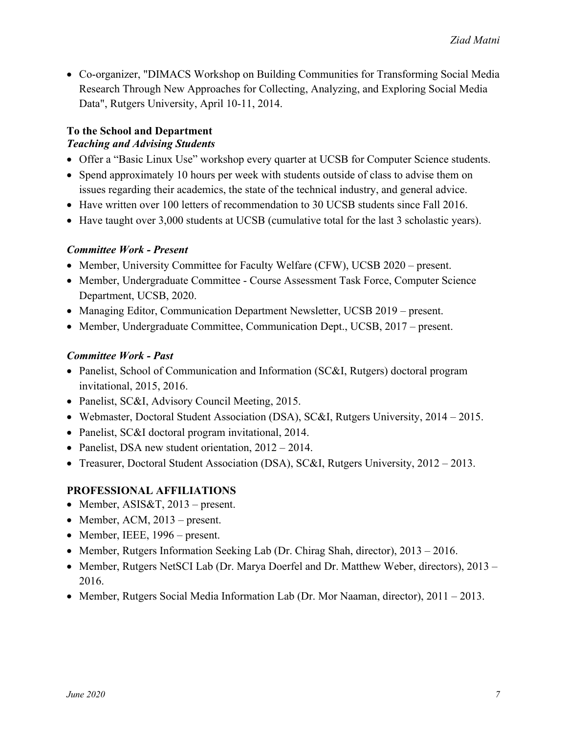• Co-organizer, "DIMACS Workshop on Building Communities for Transforming Social Media Research Through New Approaches for Collecting, Analyzing, and Exploring Social Media Data", Rutgers University, April 10-11, 2014.

#### **To the School and Department** *Teaching and Advising Students*

- Offer a "Basic Linux Use" workshop every quarter at UCSB for Computer Science students.
- Spend approximately 10 hours per week with students outside of class to advise them on issues regarding their academics, the state of the technical industry, and general advice.
- Have written over 100 letters of recommendation to 30 UCSB students since Fall 2016.
- Have taught over 3,000 students at UCSB (cumulative total for the last 3 scholastic years).

#### *Committee Work - Present*

- Member, University Committee for Faculty Welfare (CFW), UCSB 2020 present.
- Member, Undergraduate Committee Course Assessment Task Force, Computer Science Department, UCSB, 2020.
- Managing Editor, Communication Department Newsletter, UCSB 2019 present.
- Member, Undergraduate Committee, Communication Dept., UCSB, 2017 present.

# *Committee Work - Past*

- Panelist, School of Communication and Information (SC&I, Rutgers) doctoral program invitational, 2015, 2016.
- Panelist, SC&I, Advisory Council Meeting, 2015.
- Webmaster, Doctoral Student Association (DSA), SC&I, Rutgers University, 2014 2015.
- Panelist, SC&I doctoral program invitational, 2014.
- Panelist, DSA new student orientation,  $2012 2014$ .
- Treasurer, Doctoral Student Association (DSA), SC&I, Rutgers University, 2012 2013.

# **PROFESSIONAL AFFILIATIONS**

- Member, ASIS&T, 2013 present.
- Member, ACM, 2013 present.
- Member, IEEE, 1996 present.
- Member, Rutgers Information Seeking Lab (Dr. Chirag Shah, director), 2013 2016.
- Member, Rutgers NetSCI Lab (Dr. Marya Doerfel and Dr. Matthew Weber, directors), 2013 2016.
- Member, Rutgers Social Media Information Lab (Dr. Mor Naaman, director), 2011 2013.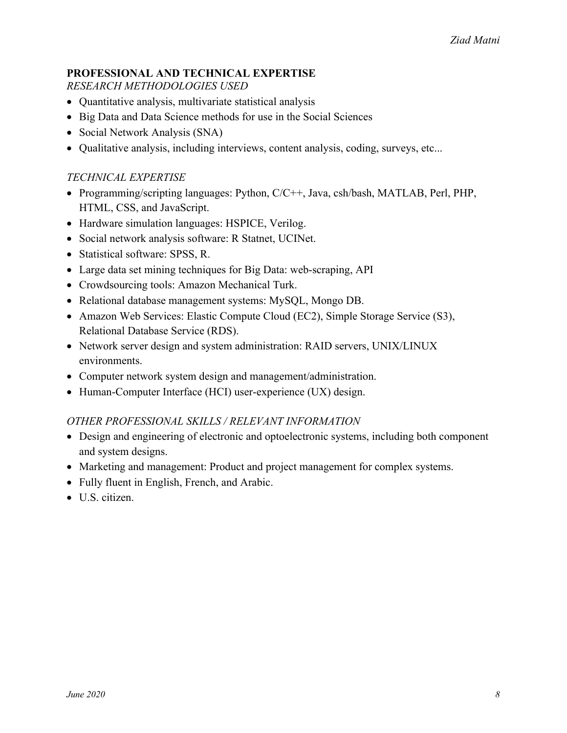# **PROFESSIONAL AND TECHNICAL EXPERTISE**

*RESEARCH METHODOLOGIES USED*

- Quantitative analysis, multivariate statistical analysis
- Big Data and Data Science methods for use in the Social Sciences
- Social Network Analysis (SNA)
- Qualitative analysis, including interviews, content analysis, coding, surveys, etc...

# *TECHNICAL EXPERTISE*

- Programming/scripting languages: Python, C/C++, Java, csh/bash, MATLAB, Perl, PHP, HTML, CSS, and JavaScript.
- Hardware simulation languages: HSPICE, Verilog.
- Social network analysis software: R Statnet, UCINet.
- Statistical software: SPSS, R.
- Large data set mining techniques for Big Data: web-scraping, API
- Crowdsourcing tools: Amazon Mechanical Turk.
- Relational database management systems: MySQL, Mongo DB.
- Amazon Web Services: Elastic Compute Cloud (EC2), Simple Storage Service (S3), Relational Database Service (RDS).
- Network server design and system administration: RAID servers, UNIX/LINUX environments.
- Computer network system design and management/administration.
- Human-Computer Interface (HCI) user-experience (UX) design.

# *OTHER PROFESSIONAL SKILLS / RELEVANT INFORMATION*

- Design and engineering of electronic and optoelectronic systems, including both component and system designs.
- Marketing and management: Product and project management for complex systems.
- Fully fluent in English, French, and Arabic.
- U.S. citizen.